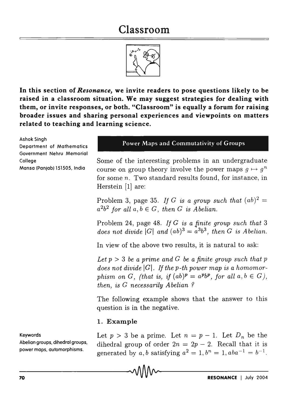# **Classroom**



**In this section of** *Resonance,* **we invite readers to pose questions likely to be raised in a classroom situation. We may suggest strategies for dealing with them, or invite responses, or both. "Classroom" is equally a forum for raising broader issues and sharing personal experiences and viewpoints on matters related to teaching and learning science.** 

Ashok Singh

Department of Mathematics Government Nehru Memorial College

Mansa (Panjab) 151505, India

# Power Maps and Commutativity of Groups

Some of the interesting problems in an undergraduate course on group theory involve the power maps  $g \mapsto g^n$ for some *n.* Two standard results found, for instance, in Herstein [1] are:

Problem 3, page 35. If G is a group such that  $(ab)^2 =$  $a^2b^2$  for all  $a, b \in G$ , then G is Abelian.

Problem 24, page 48. *If* G *is a finite group such that 3 does not divide* |G| *and*  $(ab)^3 = a^3b^3$ , *then G is Abelian.* 

In view of the above two results, it is natural to ask:

Let  $p > 3$  *be a prime and G be a finite group such that p* does not divide |G|. If the p-th power map is a homomor*phism on G, (that is, if*  $(ab)^p = a^p b^p$ *, for all*  $a, b \in G$ *), then, is* G *necessarily Abelian* ?

The following example shows that the answer to this question is in the negative.

## **1. Example**

Let  $p > 3$  be a prime. Let  $n = p - 1$ . Let  $D_n$  be the dihedral group of order  $2n = 2p - 2$ . Recall that it is generated by *a*, *b* satisfying  $a^2 = 1$ ,  $b^n = 1$ ,  $aba^{-1} = b^{-1}$ .

Keywords

Abelian groups, dihedral groups, power maps, automorphisms.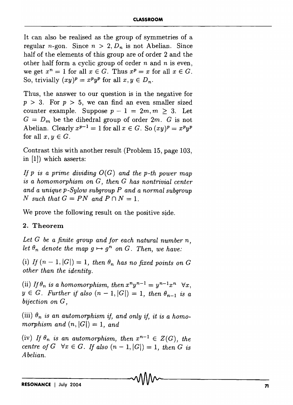It can also be realised as the group of symmetries of a regular *n*-gon. Since  $n > 2$ ,  $D_n$  is not Abelian. Since half of the elements of this group are of order 2 and the other half form a cyclic group of order nand *n* is even, we get  $x^n = 1$  for all  $x \in G$ . Thus  $x^p = x$  for all  $x \in G$ . So, trivially  $(xy)^p = x^p y^p$  for all  $x, y \in D_n$ .

Thus, the answer to our question is in the negative for  $p > 3$ . For  $p > 5$ , we can find an even smaller sized counter example. Suppose  $p-1 = 2m, m \geq 3$ . Let  $G = D_m$  be the dihedral group of order  $2m$ . G is not Abelian. Clearly  $x^{p-1} = 1$  for all  $x \in G$ . So  $(xy)^p = x^p y^p$ for all  $x, y \in G$ .

Contrast this with another result (Problem 15, page 103, in [1]) which asserts:

If p is a prime dividing  $O(G)$  and the p-th power map is *a homomorphism on G, then* G *has nontrivial center and a unique p-Sylow subgroup P and a normal subgroup N* such that  $G = PN$  and  $P \cap N = 1$ .

We prove the following result on the positive side.

### 2. **Theorem**

Let G be a finite group and for each natural number n, *let*  $\theta_n$  denote the map  $g \mapsto g^n$  on G. Then, we have:

(i) If  $(n-1, |G|) = 1$ , then  $\theta_n$  has no fixed points on G *other than the identity.* 

(ii) *If*  $\theta_n$  *is a homomorphism, then*  $x^n y^{n-1} = y^{n-1} x^n$   $\forall x$ .  $y \in G$ . Further if also  $(n-1, |G|) = 1$ , then  $\theta_{n-1}$  is a *bijection on* G,

(iii)  $\theta_n$  *is an automorphism if, and only if, it is a homomorphism and*  $(n, |G|) = 1$ , *and* 

(iv) If  $\theta_n$  is an automorphism, then  $x^{n-1} \in Z(G)$ , the *centre of G*  $\forall x \in G$ . If also  $(n - 1, |G|) = 1$ , *then G is Abelian.*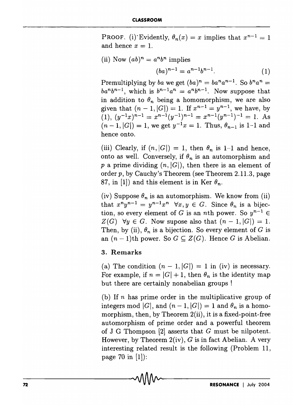PROOF. (i) Evidently,  $\theta_n(x) = x$  implies that  $x^{n-1} = 1$ and hence  $x = 1$ .

(ii) Now  $(ab)^n = a^n b^n$  implies

$$
(ba)^{n-1} = a^{n-1}b^{n-1}.
$$
 (1)

Premultiplying by *ba* we get  $(ba)^n = ba^n a^{n-1}$ . So  $b^n a^n =$  $ba^n b^{n-1}$ , which is  $b^{n-1} a^n = a^n b^{n-1}$ . Now suppose that in addition to  $\theta_n$  being a homomorphism, we are also given that  $(n - 1, |G|) = 1$ . If  $x^{n-1} = y^{n-1}$ , we have, by  $(1), (y^{-1}x)^{n-1} = x^{n-1}(y^{-1})^{n-1} = x^{n-1}(y^{n-1})^{-1} = 1.$  As  $(n-1, |G|) = 1$ , we get  $y^{-1}x = 1$ . Thus,  $\theta_{n-1}$  is 1-1 and hence onto.

(iii) Clearly, if  $(n, |G|) = 1$ , then  $\theta_n$  is 1-1 and hence, onto as well. Conversely, if  $\theta_n$  is an automorphism and p a prime dividing  $(n, |G|)$ , then there is an element of order p, by Cauchy's Theorem (see Theorem 2.11.3, page 87, in [1]) and this element is in Ker  $\theta_n$ .

(iv) Suppose  $\theta_n$  is an automorphism. We know from (ii) that  $x^n y^{n-1} = y^{n-1} x^n$   $\forall x, y \in G$ . Since  $\theta_n$  is a bijection, so every element of G is an *n*th power. So  $y^{n-1} \in$  $Z(G)$   $\forall y \in G$ . Now supose also that  $(n-1, |G|) = 1$ . Then, by (ii),  $\theta_n$  is a bijection. So every element of G is an  $(n-1)$ th power. So  $G \subseteq Z(G)$ . Hence G is Abelian.

### 3. Remarks

(a) The condition  $(n-1, |G|) = 1$  in (iv) is necessary. For example, if  $n = |G| + 1$ , then  $\theta_n$  is the identity map but there are certainly nonabelian groups !

(b) If  $n$  has prime order in the multiplicative group of integers mod |G|, and  $(n - 1, |G|) = 1$  and  $\theta_n$  is a homomorphism, then, by Theorem  $2(ii)$ , it is a fixed-point-free automorphism of prime order and a powerful theorem of J G Thompson [2] asserts that G must be nilpotent. However, by Theorem  $2(iv)$ , G is in fact Abelian. A very interesting related result is the following (Problem 11, page 70 in [1]):